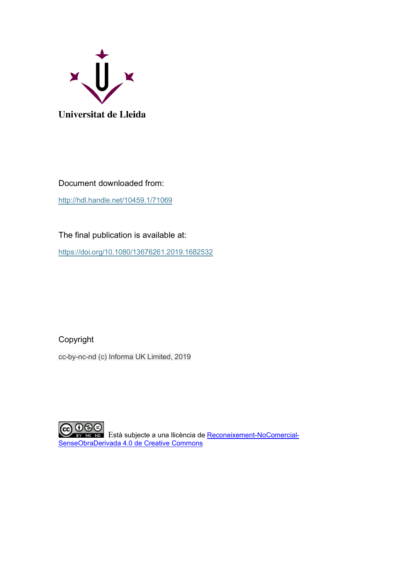<span id="page-0-0"></span>

<span id="page-0-2"></span><span id="page-0-1"></span>Document downloaded from:

<span id="page-0-3"></span><http://hdl.handle.net/10459.1/71069>

The final publication is available at:

<span id="page-0-5"></span><span id="page-0-4"></span><https://doi.org/10.1080/13676261.2019.1682532>

<span id="page-0-6"></span>Copyright

<span id="page-0-7"></span>cc-by-nc-nd (c) Informa UK Limited, 2019

<span id="page-0-10"></span><span id="page-0-9"></span><span id="page-0-8"></span>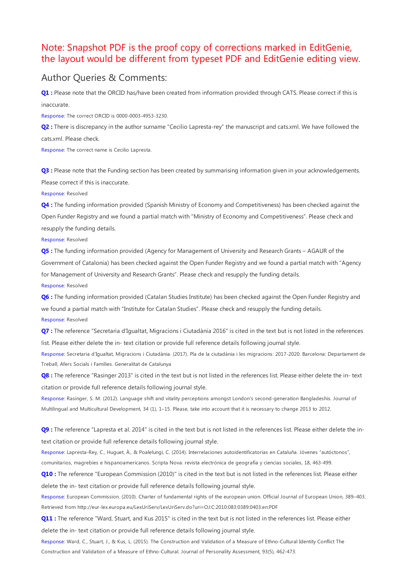# <span id="page-1-4"></span><span id="page-1-3"></span>Note: Snapshot PDF is the proof copy of corrections marked in EditGenie, the layout would be different from typeset PDF and EditGenie editing view.

# Author Queries & Comments:

<span id="page-1-5"></span>**[Q1](#page-2-0) :** Please note that the ORCID has/have been created from information provided through CATS. Please correct if this is inaccurate.

Response: The correct ORCID is 0000-0003-4953-3230.

**[Q2](#page-2-1) :** There is discrepancy in the author surname "Cecilio Lapresta-rey" the manuscript and cats.xml. We have followed the cats.xml. Please check.

<span id="page-1-6"></span>Response: The correct name is Cecilio Lapresta.

**[Q3](#page-2-2) :** Please note that the Funding section has been created by summarising information given in your acknowledgements. Please correct if this is inaccurate.

<span id="page-1-7"></span>Response: Resolved

**[Q4](#page-2-3) :** The funding information provided (Spanish Ministry of Economyand Competitiveness) has been checked against the Open Funder Registryand we found a partial match with "Ministry of Economyand Competitiveness". Please checkand resupply the funding details.

<span id="page-1-12"></span>Response: Resolved

**[Q5](#page-2-4) :** The funding information provided (Agency for Management of Universityand Research Grants– AGAUR of the Government of Catalonia) has been checked against the Open Funder Registryand we found a partial match with "Agency for Management of University and Research Grants". Please check and resupply the funding details. Response: Resolved

<span id="page-1-8"></span>**[Q6](#page-2-5) :** The funding information provided (Catalan Studies Institute) has been checked against the Open Funder Registryand we found a partial match with "Institute for Catalan Studies". Please checkand resupply the funding details. Response: Resolved

<span id="page-1-9"></span>**[Q7](#page-3-0) :** The reference "Secretaria d'Igualtat, Migracions i Ciutadània 2016" is cited in the text but is not listed in the references list. Please either delete the in- text citation or provide full reference details following journal style.

Response: Secretaria d'Igualtat, Migracions i Ciutadània. (2017). Pla de la ciutadània i les migracions: 2017-2020. Barcelona: Departament de Treball, Afers Socials i Famílies. Generalitat de Catalunya

<span id="page-1-10"></span>**[Q8](#page-4-0) :** The reference "Rasinger 2013" is cited in the text but is not listed in the references list. Please either delete the in- text citation or provide full reference details following journal style.

<span id="page-1-11"></span>Response: Rasinger, S. M. (2012). Language shift and vitality perceptions amongst London's second-generation Bangladeshis. Journal of Multilingual and Multicultural Development, 34 (1), 1–15. Please, take into account that it is necessary to change 2013 to 2012.

**[Q9](#page-4-1) :** The reference "Lapresta et al. 2014" is cited in the text but is not listed in the references list. Please either delete the intext citation or provide full reference details following journal style.

<span id="page-1-13"></span>Response: Lapresta-Rey, C., Huguet, À., & Poalelungi, C. (2014). Interrelaciones autoidentificatorias en Cataluña. Jóvenes "autóctonos", comunitarios, magrebíes e hispanoamericanos. Scripta Nova: revista electrónica de geografía y ciencias sociales, 18, 463-499.

**[Q10](#page-6-0) :** The reference "European Commission (2010)" is cited in the text but is not listed in the references list. Please either delete the in- text citation or provide full reference details following journal style.

<span id="page-1-1"></span>Response: European Commission. (2010). Charter of fundamental rights of the european union. Official Journal of European Union, 389–403. Retrieved from http://eur-lex.europa.eu/LexUriServ/LexUriServ.do?uri=OJ:C:2010:083:0389:0403:en:PDF

<span id="page-1-0"></span>**[Q11](#page-13-0)** : The reference "Ward, Stuart, and Kus 2015" is cited in the text but is not listed in the references list. Please either delete the in- text citation or provide full reference details following journal style.

<span id="page-1-2"></span>Response: Ward, C., Stuart, J., & Kus, L. (2015). The Construction and Validation of a Measure of Ethno-Cultural Identity Conflict The Construction and Validation of a Measure of Ethno-Cultural. Journal of Personality Assessment, 93(5), 462-473.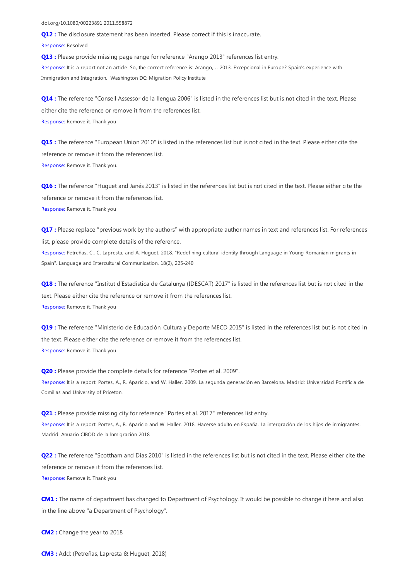#### <span id="page-2-10"></span>doi.org/10.1080/00223891.2011.558872

<span id="page-2-11"></span>**[Q12](#page-15-0)** : The disclosure statement has been inserted. Please correct if this is inaccurate.

<span id="page-2-12"></span>Response: Resolved

<span id="page-2-13"></span>**[Q13](#page-15-1)** : Please provide missing page range for reference "Arango 2013" references list entry. Response: It is a report not an article. So, the correct reference is: Arango, J. 2013. Excepcional in Europe? Spain's experience with Immigration and Integration. Washington DC: Migration Policy Institute

**[Q14](#page-15-2) :** The reference "Consell Assessor de la llengua 2006" is listed in the references list but is not cited in the text. Please either cite the reference or remove it from the references list. Response: Remove it. Thank you

**[Q15](#page-15-3) :** The reference "European Union 2010" is listed in the references list but is not cited in the text. Please either cite the reference or remove it from the references list. Response: Remove it. Thank you.

<span id="page-2-8"></span><span id="page-2-7"></span><span id="page-2-1"></span><span id="page-2-0"></span>**[Q16](#page-16-0) :** The reference "Huguet and Janés 2013" is listed in the references list but is not cited in the text. Please either cite the reference or remove it from the references list. Response: Remove it. Thank you

<span id="page-2-9"></span><span id="page-2-6"></span>**[Q17](#page-16-1) :** Please replace "previous work by the authors" with appropriate author names in text and references list. For references list, please provide complete details of the reference. Response: Petreñas, C., C. Lapresta, and À. Huguet. 2018. "Redefining cultural identity through Language in Young Romanian migrants in Spain". Language and Intercultural Communication, 18(2), 225-240

**[Q18](#page-16-2) :** The reference "Institut d'Estadística de Catalunya (IDESCAT) 2017" is listed in the references list but is not cited in the text. Please either cite the reference or remove it from the references list. Response: Remove it. Thank you

**[Q19](#page-16-3) :** The reference "Ministerio de Educación, Cultura y Deporte MECD 2015" is listed in the references list but is not cited in the text. Please either cite the reference or remove it from the references list. Response: Remove it. Thank you

**[Q20](#page-16-4)** : Please provide the complete details for reference "Portes et al. 2009". Response: It is a report: Portes, A., R. Aparicio, and W. Haller. 2009. La segunda generación en Barcelona. Madrid: Universidad Pontificia de Comillas and University of Priceton.

<span id="page-2-3"></span><span id="page-2-2"></span>**[Q21](#page-16-5) :** Please provide missing city for reference "Portes et al. 2017" references list entry. Response: It is a report: Portes, A., R. Aparicio and W. Haller. 2018. Hacerse adulto en España. La intergración de los hijos de inmigrantes. Madrid: Anuario CIBOD de la Inmigración 2018

<span id="page-2-5"></span><span id="page-2-4"></span>**[Q22](#page-16-6) :** The reference "Scottham and Dias 2010" is listed in the references list but is not cited in the text. Please either cite the reference or remove it from the references list. Response: Remove it. Thank you

**[CM1](#page-2-6) :** The name of department has changed to Department of Psychology. It would be possible to change it here and also in the line above "a Department of Psychology".

**[CM2](#page-2-7) :** Change the year to 2018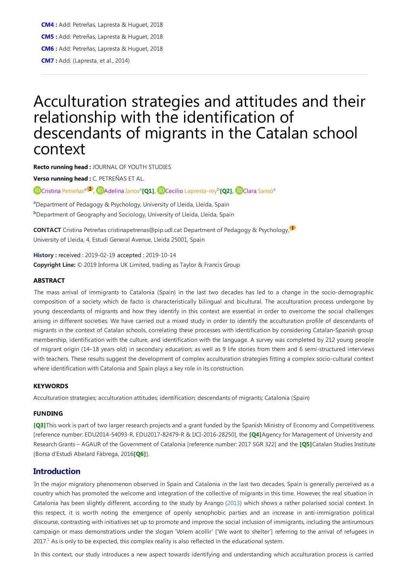**[CM4](#page-4-2) :** Add: Petreñas, Lapresta & Huguet, 2018 **[CM5](#page-4-3) :** Add: Petreñas, Lapresta & Huguet, 2018 **[CM6](#page-4-4) :** Add: Petreñas, Lapresta & Huguet, 2018 **[CM7](#page-4-5)** : Add: (Lapresta, et al., 2014)

### CONTEXT<br>
Recto running head :<br>
Verso running head :<br> **D**Cristina Petreñas<sup>a pa</sup><br>
Department of Pedag **OTTLO OTTLO DEPARTMENT CONTRACT CONTRACT CONTRACT CONTRACT CONTRACT CONTRACT CONTRACT CONTRACT CONTRACT CONTRACT CONTRACT CONTRACT CONTRACT CONTRACT CONTRACT CONTRACT CONTRACT CONTRACT CONTRACT CONTRACT CONTRACT CONTRACT** DE YOUTH STUDIES<br>DF YOUTH STUDIES<br>AS ET AL.<br>a lanos<sup>a</sup>[Q1], <sup>1</sup>DCe<br>hology, University c **i-value 3**<br>STUDIES<br><sup>1</sup><br>iversity c **11910**<br>UDIES<br>**D**Cecilio<br>ersity of Lle r **and CO** Tri<br>cilio Lapresta-rey<sup>b</sup>[(<br>of Lleida, Lleida, Spa **Lapresta-rey<br>Lapresta-rey<br>ida, Lleida,** S  $\tan^{-1}$ <br> $\tan^{-1}$ <br> $\tan^{-1}$ <br> $\tan^{-1}$ <br> $\tan^{-1}$ <br> $\tan^{-1}$ ,[-](#page-0-1)  $^b$ [Q2],  $^b$ [Q2],  $^b$ **2], <mark>D</mark>Clara Sansó<sup>a</sup>**<br>2], **D**Clara Sansó<sup>a</sup>  $\frac{1}{3}$ Acculturation strategies and attitudes and their relationship with the identification of descendants of migrants in the Catalan school

<span id="page-3-0"></span>**Recto running head :** JOURNAL OF YOUTH STUDIES

**Verso running head :** C. PETREÑAS ET AL.

Cristina Petreñas<sup>a∫</sup> Adelina **]**, Cec il io pres<mark>t</mark><br>a, Lle - re y<sup>b</sup> **2**, **iD** Adelina Ianos<sup>a</sup> [Q1], **iD** Cecilio Lapresta-rey<sup>b</sup> [Q2

partment of Pedagogy & Psychology, University of Lleida, Lleida, Spain **b**Department of Geography and Sociology, University of Lleida, Lleida, Spain

<span id="page-3-1"></span>**CONTACT** Cristina Petreñas cristinapetrenas@pip.udl.cat Department of Pedagogy & Psychology, **1** University of Lleida, 4, Estudi General Avenue, Lleida 25001, Spain

**History :** received : 2019-02-19 accepted : 2019-10-14 **Copyright Line:** © 2019 Informa UK Limited, trading as Taylor & Francis Group

### **ABSTRACT**

The mass arrival of immigrants to Catalonia (Spain) in the last two decades has led to a change in the socio-demographic composition of a society which de facto is characteristically bilingual and bicultural. The acculturation process undergone by young descendants of migrants and how they identify in this context are essential in order to overcome the social challenges arising in different societies. We have carried out a mixed study in order to identify the acculturation profile of descendants of migrants in the context of Catalan schools, correlating these processes with identification by considering Catalan-Spanish group membership, identification with the culture, and identification with the language. A survey was completed by 212 young people of migrant origin (14–18 years old) in secondary education; as well as 9 life stories from them and 6 semi-structured interviews with teachers. These results suggest the development of complex acculturation strategies fitting a complex socio-cultural context where identification with Catalonia and Spain plays a key role in its construction.

### **KEYWORDS**

Acculturation strategies; acculturation attitudes; identification; descendants of migrants; Catalonia (Spain)

### **FUNDING**

**[\[Q3\]](#page-0-2)**This work is part of two larger research projects and a grant funded by the Spanish Ministry of Economy and Competitiveness [reference number:EDU2014-54093-R,EDU2017-82479-R & IJCI-2016-28250], the **[\[Q4\]](#page-0-3)**Agency for Management of Universityand Research Grants– AGAUR of the Government of Catalonia [reference number: 2017 SGR 322] and the **[\[Q5\]](#page-0-4)**Catalan Studies Institute [Borsa d'Estudi Abelard Fàbrega, 2016**[\[Q6\]](#page-0-5)**].

# **Introduction**

In the major migratory phenomenon observed in Spain and Catalonia in the last two decades, Spain is generally perceived as a country which has promoted the welcome and integration of the collective of migrants in this time. However, the real situation in Catalonia has been slightly different, according to the study by Arango [\(2013](#page-15-4)) which shows a rather polarised social context. In this respect, it is worth noting the emergence of openly xenophobic parties and an increase in anti-immigration political discourse, contrasting with initiatives set up to promote and improve the social inclusion of immigrants, including the antirumours campaign or mass demonstrations under the slogan 'Volem acollir' ['We want to shelter'] referring to the arrival of refugees in  $2017<sup>1</sup>$  $2017<sup>1</sup>$  $2017<sup>1</sup>$  As is only to be expected, this complex reality is also reflected in the educational system.

In this context, our study introduces a new aspect towards identifying and understanding which acculturation process is carried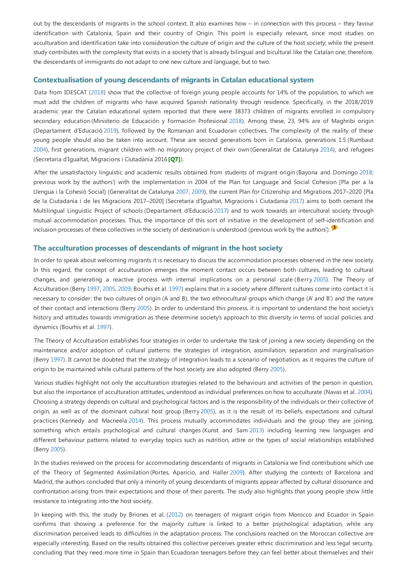out by the descendants of migrants in the school context. It also examines how – in connection with this process – they favour identification with Catalonia, Spain and their country of Origin. This point is especially relevant, since most studies on acculturation and identification take into consideration the culture of origin and the culture of the host society; while the present study contributes with the complexity that exists in a society that is already bilingual and bicultural like the Catalan one; therefore, the descendants of immigrants do not adapt to one new culture and language, but to two.

## **Contextualisation of young descendants of migrants in Catalan educational system**

Data from IDESCAT ([2018](#page-16-7)) show that the collective of foreign young people accounts for 14% of the population, to which we must add the children of migrants who have acquired Spanish nationality through residence. Specifically, in the 2018/2019 academic year the Catalan educational system reported that there were 38373 children of migrants enrolled in compulsory secondary education (Ministerio de Educación y Formación Profesional [2018](#page-16-8)). Among these, 23, 94% are of Maghribi origin (Departament d'Educació [2019](#page-15-6)), followed by the Romanian and Ecuadoran collectives. The complexity of the reality of these young people should also be taken into account. These are second generations born in Catalonia, generations 1.5 (Rumbaut [2004](#page-16-9)), first generations, migrant children with no migratory project of their own (Generalitat de Catalunya [2014](#page-16-10)), and refugees (Secretaria d'Igualtat, Migracions i Ciutadània 2016**[\[Q7\]](#page-0-6)**).

<span id="page-4-3"></span><span id="page-4-2"></span>After the unsatisfactory linguistic and academic results obtained from students of migrant origin (Bayona and Domingo [2018](#page-15-7); previous work by the authors') with the implementation in 2004 of the Plan for Language and Social Cohesion [Pla per a la Llengua i la Cohesió Social] (Generalitat de Catalunya [2007](#page-15-8), [2009](#page-15-9)), the current Plan for Citizenship and Migrations 2017–2020 [Pla de la Ciutadania i de les Migracions 2017–2020] (Secretaria d'Igualtat, Migracions i Ciutadania [2017](#page-16-11)) aims to both cement the Multilingual Linguistic Project of schools (Departament d'Educació [2017](#page-15-10)) and to work towards an intercultural society through mutual accommodation processes. Thus, the importance of this sort of initiative in the development of self-identification and inclusion processes of these collectives in the society of destination is understood (previous work by the authors'). **3**

### <span id="page-4-0"></span>**The acculturation processes of descendants of migrant in the host society**

In order to speak about welcoming migrants it is necessary to discuss the accommodation processes observed in the new society. In this regard, the concept of acculturation emerges the moment contact occurs between both cultures, leading to cultural changes, and generating a reactive process with internal implications on a personal scale (Berry [2005](#page-15-11)). The Theory of Acculturation (Berry [1997](#page-15-12), [2005](#page-15-11), [2009](#page-15-13); Bourhiset al. [1997](#page-15-14)) explains that in a society where different cultures come into contact it is necessary to consider: the two cultures of origin (A and B), the two ethnocultural groups which change (A' and B') and the nature of their contact and interactions (Berry [2005](#page-15-11)). In order to understand this process, it is important to understand the host society's history and attitudes towards immigration as these determine society's approach to this diversity in terms of social policies and dynamics (Bourhis et al. [1997](#page-15-14)).

The Theory of Acculturation establishes four strategies in order to undertake the task of joining a new society depending on the maintenance and/or adoption of cultural patterns: the strategies of integration, assimilation, separation and marginalisation (Berry [1997](#page-15-12)). It cannot be doubted that the strategy of integration leads to a scenario of negotiation, as it requires the culture of origin to be maintained while cultural patterns of the host societyare also adopted (Berry [2005](#page-15-11)).

<span id="page-4-4"></span><span id="page-4-1"></span>Various studies highlight not only the acculturation strategies related to the behaviours and activities of the person in question, but also the importance of acculturation attitudes, understood as individual preferences on how to acculturate (Navas et al. [2004](#page-16-12)). Choosing a strategy depends on cultural and psychological factors and is the responsibility of the individuals or their collective of origin, as well as of the dominant cultural host group (Berry [2005](#page-15-11)), as it is the result of its beliefs, expectations and cultural practices (Kennedy and Macneela [2014](#page-16-13)). This process mutually accommodates individuals and the group they are joining, something which entails psychological and cultural changes (Kunst and Sam [2013](#page-16-14)) including learning new languages and different behaviour patterns related to everyday topics such as nutrition, attire or the types of social relationships established (Berry [2005](#page-15-11)).

<span id="page-4-5"></span>In the studies reviewed on the process for accommodating descendants of migrants in Catalonia we find contributions which use of the Theory of Segmented Assimilation (Portes, Aparicio, and Haller [2009](#page-16-15)). After studying the contexts of Barcelona and Madrid, the authors concluded that only a minority of young descendants of migrants appear affected by cultural dissonance and confrontation arising from their expectations and those of their parents. The study also highlights that young people show little resistance to integrating into the host society.

In keeping with this, the study by Briones et al. [\(2012](#page-15-15)) on teenagers of migrant origin from Morocco and Ecuador in Spain confirms that showing a preference for the majority culture is linked to a better psychological adaptation, while any discrimination perceived leads to difficulties in the adaptation process. The conclusions reached on the Moroccan collective are especially interesting. Based on the results obtained this collective perceives greater ethnic discrimination and less legal security, concluding that they need more time in Spain than Ecuadoran teenagers before they can feel better about themselves and their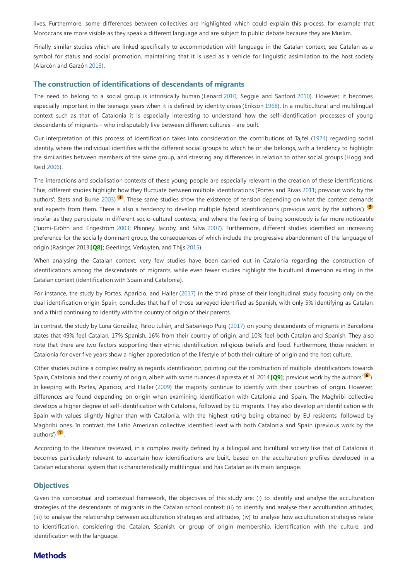lives. Furthermore, some differences between collectives are highlighted which could explain this process, for example that Moroccans are more visible as they speak a different language and are subject to public debate because they are Muslim.

Finally, similar studies which are linked specifically to accommodation with language in the Catalan context, see Catalan as a symbol for status and social promotion, maintaining that it is used as a vehicle for linguistic assimilation to the host society (Alarcón and Garzón [2013](#page-15-16)).

### **The construction of identifications of descendants of migrants**

The need to belong to a social group is intrinsically human (Lenard [2010](#page-16-16); Seggie and Sanford [2010](#page-16-17)). However, it becomes especially important in the teenage years when it is defined by identity crises(Erikson [1968](#page-15-17)). In a multicultural and multilingual context such as that of Catalonia it is especially interesting to understand how the self-identification processes of young descendants of migrants– who indisputably live between different cultures– are built.

Our interpretation of this process of identification takes into consideration the contributions of Tajfel [\(1974](#page-17-0)) regarding social identity, where the individual identifies with the different social groups to which he or she belongs, with a tendency to highlight the similarities between members of the same group, and stressing any differences in relation to other social groups (Hogg and Reid [2006](#page-16-18)).

<span id="page-5-0"></span>The interactions and socialisation contexts of these young people are especially relevant in the creation of these identifications. Thus, different studies highlight how they fluctuate between multiple identifications (Portes and Rivas [2011](#page-16-19); previous work by the authors'; Stets and Burke [2003](#page-16-20))<sup>94</sup>. These same studies show the existence of tension depending on what the context demands and expects from them. There is also a tendency to develop multiple hybrid identifications (previous work by the authors') **5** insofar as they participate in different socio-cultural contexts, and where the feeling of being somebody is far more noticeable (Tuomi-Gröhn and Engeström [2003](#page-17-1); Phinney, Jacoby, and Silva [2007](#page-16-21)). Furthermore, different studies identified an increasing preference for the socially dominant group, the consequences of which include the progressive abandonment of the language of origin (Rasinger 2013 **[\[Q8\]](#page-0-7)**; Geerlings, Verkuyten, and Thijs [2015](#page-15-18)).

When analysing the Catalan context, very few studies have been carried out in Catalonia regarding the construction of identifications among the descendants of migrants, while even fewer studies highlight the bicultural dimension existing in the Catalan context (identification with Spain and Catalonia).

For instance, the study by Portes, Aparicio, and Haller [\(2017](#page-16-22)) in the third phase of their longitudinal study focusing only on the dual identification origin-Spain, concludes that half of those surveyed identified as Spanish, with only 5% identifying as Catalan, and a third continuing to identify with the country of origin of their parents.

In contrast, the study by Luna González, Palou Julián, and Sabariego Puig [\(2017](#page-16-23)) on young descendants of migrants in Barcelona states that 49% feel Catalan, 17% Spanish, 16% from their country of origin, and 10% feel both Catalan and Spanish. They also note that there are two factors supporting their ethnic identification: religious beliefs and food. Furthermore, those resident in Catalonia for over five years show a higher appreciation of the lifestyle of both their culture of origin and the host culture.

Other studies outline a complex reality as regards identification, pointing out the construction of multiple identifications towards Spain, Catalonia and their country of origin, albeit with some nuances (Lapresta et al. 2014 **[\[Q9\]](#page-0-8)**; previous work by the authors' <sup>6</sup>). In keeping with Portes, Aparicio, and Haller [\(2009](#page-16-15)) the majority continue to identify with their countries of origin. However, differences are found depending on origin when examining identification with Catalonia and Spain. The Maghribi collective develops a higher degree of self-identification with Catalonia, followed by EU migrants. They also develop an identification with Spain with values slightly higher than with Catalonia, with the highest rating being obtained by EU residents, followed by Maghribi ones. In contrast, the Latin American collective identified least with both Catalonia and Spain (previous work by the authors') <sup>7</sup>.

According to the literature reviewed, in a complex reality defined by a bilingual and bicultural society like that of Catalonia it becomes particularly relevant to ascertain how identifications are built, based on the acculturation profiles developed in a Catalan educational system that is characteristically multilingual and has Catalan as its main language.

## **Objectives**

Given this conceptual and contextual framework, the objectives of this study are: (i) to identify and analyse the acculturation strategies of the descendants of migrants in the Catalan school context; (ii) to identify and analyse their acculturation attitudes; (iii) to analyse the relationship between acculturation strategies and attitudes; (iv) to analyse how acculturation strategies relate to identification, considering the Catalan, Spanish, or group of origin membership, identification with the culture, and identification with the language.

# **Methods**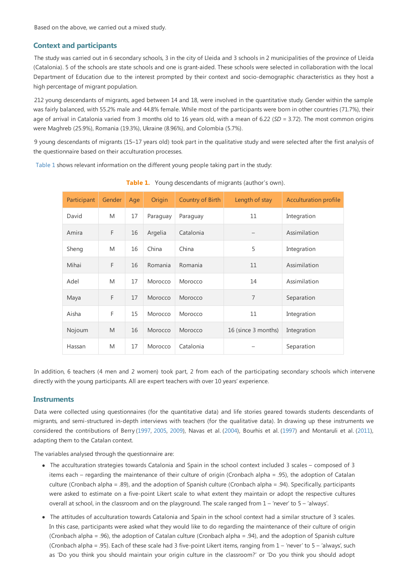Based on the above, we carried out a mixed study.

## **Context and participants**

The study was carried out in 6 secondary schools, 3 in the city of Lleida and 3 schools in 2 municipalities of the province of Lleida (Catalonia). 5 of the schools are state schools and one is grant-aided. These schools were selected in collaboration with the local Department of Education due to the interest prompted by their context and socio-demographic characteristics as they host a high percentage of migrant population.

212 young descendants of migrants, aged between 14 and 18, were involved in the quantitative study. Gender within the sample was fairly balanced, with 55.2% male and 44.8% female. While most of the participants were born in other countries (71.7%), their age of arrival in Catalonia varied from 3 months old to 16 years old, with a mean of 6.22 (*SD* = 3.72). The most common origins were Maghreb (25.9%), Romania (19.3%), Ukraine (8.96%), and Colombia (5.7%).

9 young descendants of migrants (15–17 years old) took part in the qualitative study and were selected after the first analysis of the questionnaire based on their acculturation processes.

[Table](#page-5-0) 1 shows relevant information on the different young people taking part in the study:

| Participant | Gender | Age | Origin   | Country of Birth | Length of stay      | <b>Acculturation profile</b> |
|-------------|--------|-----|----------|------------------|---------------------|------------------------------|
| David       | M      | 17  | Paraguay | Paraguay         | 11                  | Integration                  |
| Amira       | F      | 16  | Argelia  | Catalonia        |                     | Assimilation                 |
| Sheng       | M      | 16  | China    | China            | 5                   | Integration                  |
| Mihai       | F      | 16  | Romania  | Romania          | 11                  | Assimilation                 |
| Adel        | M      | 17  | Morocco  | Morocco          | 14                  | Assimilation                 |
| Maya        | F      | 17  | Morocco  | Morocco          | $\overline{7}$      | Separation                   |
| Aisha       | F      | 15  | Morocco  | Morocco          | 11                  | Integration                  |
| Nojoum      | M      | 16  | Morocco  | Morocco          | 16 (since 3 months) | Integration                  |
| Hassan      | M      | 17  | Morocco  | Catalonia        |                     | Separation                   |

<span id="page-6-0"></span>Table 1. Young descendants of migrants (author's own).

In addition, 6 teachers (4 men and 2 women) took part, 2 from each of the participating secondary schools which intervene directly with the young participants. All are expert teachers with over 10 years' experience.

## **Instruments**

Data were collected using questionnaires (for the quantitative data) and life stories geared towards students descendants of migrants, and semi-structured in-depth interviews with teachers (for the qualitative data). In drawing up these instruments we considered the contributions of Berry([1997](#page-15-12), [2005](#page-15-11), [2009](#page-15-13)), Navas et al. ([2004](#page-16-12)), Bourhis et al. ([1997](#page-15-14)) and Montaruli et al. ([2011](#page-16-24)), adapting them to the Catalan context.

The variables analysed through the questionnaire are:

- The acculturation strategies towards Catalonia and Spain in the school context included 3 scales composed of 3 items each – regarding the maintenance of their culture of origin (Cronbach alpha = .95), the adoption of Catalan culture (Cronbach alpha = .89), and the adoption of Spanish culture (Cronbach alpha = .94). Specifically, participants were asked to estimate on a five-point Likert scale to what extent they maintain or adopt the respective cultures overall at school, in the classroom and on the playground. The scale ranged from  $1 -$  'never' to  $5 -$ 'always'.
- The attitudes of acculturation towards Catalonia and Spain in the school context had a similar structure of 3 scales. In this case, participants were asked what they would like to do regarding the maintenance of their culture of origin (Cronbach alpha = .96), the adoption of Catalan culture (Cronbach alpha = .94), and the adoption of Spanish culture (Cronbach alpha = .95). Each of these scale had 3 five-point Likert items, ranging from  $1 -$  'never' to  $5 -$ 'always', such as 'Do you think you should maintain your origin culture in the classroom?' or 'Do you think you should adopt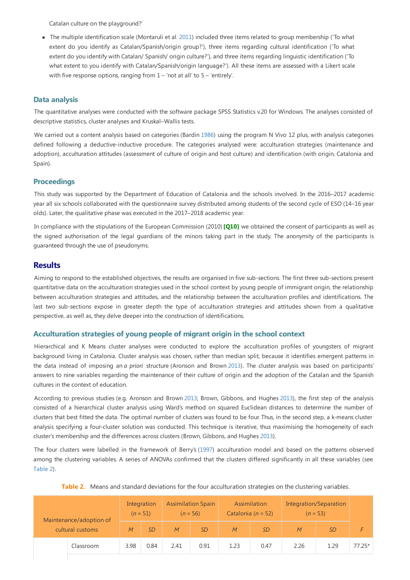<span id="page-7-0"></span>Catalan culture on the playground?'

The multiple identification scale (Montaruli et al. [2011](#page-16-24)) included three items related to group membership ('To what extent do you identify as Catalan/Spanish/origin group?'), three items regarding cultural identification ('To what extent do you identify with Catalan/ Spanish/ origin culture?'), and three items regarding linguistic identification ('To what extent to you identify with Catalan/Spanish/origin language?'). All these items are assessed with a Likert scale with five response options, ranging from  $1 -$  'not at all' to  $5 -$  'entirely'.

# **Data analysis**

The quantitative analyses were conducted with the software package SPSS Statistics v.20 for Windows. The analyses consisted of descriptive statistics, cluster analyses and Kruskal-Wallis tests.

We carried out a content analysis based on categories (Bardin [1986](#page-15-19)) using the program N Vivo 12 plus, with analysis categories defined following a deductive-inductive procedure. The categories analysed were: acculturation strategies (maintenance and adoption), acculturation attitudes (assessment of culture of origin and host culture) and identification (with origin, Catalonia and Spain).

## **Proceedings**

This study was supported by the Department of Education of Catalonia and the schools involved. In the 2016–2017 academic year all six schools collaborated with the questionnaire survey distributed among students of the second cycle of ESO (14–16 year olds). Later, the qualitative phase was executed in the 2017–2018 academic year.

In compliance with the stipulations of the European Commission (2010)**[\[Q10\]](#page-0-9)** we obtained the consent of participants as well as the signed authorisation of the legal guardians of the minors taking part in the study. The anonymity of the participants is guaranteed through the use of pseudonyms.

# **Results**

Aiming to respond to the established objectives, the resultsare organised in five sub-sections.The first three sub-sections present quantitative data on the acculturation strategies used in the school context by young people of immigrant origin, the relationship between acculturation strategies and attitudes, and the relationship between the acculturation profiles and identifications. The last two sub-sections expose in greater depth the type of acculturation strategies and attitudes shown from a qualitative perspective, as well as, they delve deeper into the construction of identifications.

## <span id="page-7-1"></span>**Acculturation strategies of young people of migrant origin in the school context**

Hierarchical and K Means cluster analyses were conducted to explore the acculturation profiles of youngsters of migrant background living in Catalonia. Cluster analysis was chosen, rather than median split, because it identifies emergent patterns in the data instead of imposing an *a priori* structure (Aronson and Brown [2013](#page-15-20)). The cluster analysis was based on participants' answers to nine variables regarding the maintenance of their culture of origin and the adoption of the Catalan and the Spanish cultures in the context of education.

According to previous studies (e.g. Aronson and Brown [2013](#page-15-20); Brown, Gibbons, and Hughes [2013](#page-15-21)), the first step of the analysis consisted of a hierarchical cluster analysis using Ward's method on squared Euclidean distances to determine the number of clusters that best fitted the data. The optimal number of clusters was found to be four. Thus, in the second step, a k-means cluster analysis specifying a four-cluster solution was conducted. This technique is iterative, thus maximising the homogeneity of each cluster's membership and the differences across clusters (Brown, Gibbons, and Hughes [2013](#page-15-21)).

The four clusters were labelled in the framework of Berry's ([1997](#page-15-12)) acculturation model and based on the patterns observed among the clustering variables. A series of ANOVAs confirmed that the clusters differed significantly in all these variables (see [Table](#page-7-0) 2).

| Maintenance/adoption of<br>cultural customs |           |      | Integration<br>$(n = 51)$ |      | <b>Assimilation Spain</b><br>$(n = 56)$ |      | Assimilation<br>Catalonia ( $n = 52$ ) |      | Integration/Separation<br>$(n = 53)$ |          |
|---------------------------------------------|-----------|------|---------------------------|------|-----------------------------------------|------|----------------------------------------|------|--------------------------------------|----------|
|                                             |           | M    | <b>SD</b>                 | M    | <b>SD</b>                               | M    | <b>SD</b>                              | M    | <b>SD</b>                            |          |
|                                             | Classroom | 3.98 | 0.84                      | 2.41 | 0.91                                    | 1.23 | 0.47                                   | 2.26 | 1.29                                 | $77.25*$ |

|  | Table 2. Means and standard deviations for the four acculturation strategies on the clustering variables. |  |  |  |  |  |  |
|--|-----------------------------------------------------------------------------------------------------------|--|--|--|--|--|--|
|--|-----------------------------------------------------------------------------------------------------------|--|--|--|--|--|--|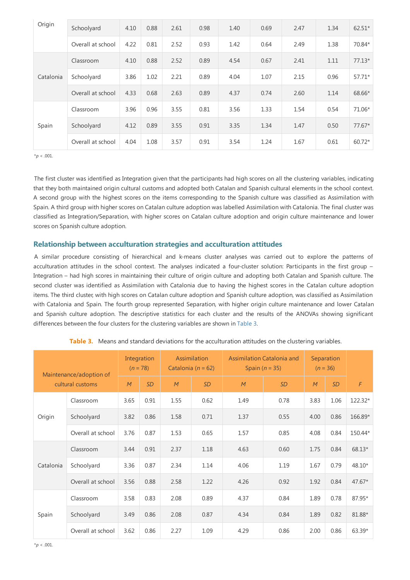| Origin    | Schoolyard        | 4.10 | 0.88 | 2.61 | 0.98 | 1.40 | 0.69 | 2.47 | 1.34 | $62.51*$ |
|-----------|-------------------|------|------|------|------|------|------|------|------|----------|
|           | Overall at school | 4.22 | 0.81 | 2.52 | 0.93 | 1.42 | 0.64 | 2.49 | 1.38 | 70.84*   |
|           | Classroom         | 4.10 | 0.88 | 2.52 | 0.89 | 4.54 | 0.67 | 2.41 | 1.11 | $77.13*$ |
| Catalonia | Schoolyard        | 3.86 | 1.02 | 2.21 | 0.89 | 4.04 | 1.07 | 2.15 | 0.96 | $57.71*$ |
|           | Overall at school | 4.33 | 0.68 | 2.63 | 0.89 | 4.37 | 0.74 | 2.60 | 1.14 | 68.66*   |
|           | Classroom         | 3.96 | 0.96 | 3.55 | 0.81 | 3.56 | 1.33 | 1.54 | 0.54 | 71.06*   |
| Spain     | Schoolyard        | 4.12 | 0.89 | 3.55 | 0.91 | 3.35 | 1.34 | 1.47 | 0.50 | $77.67*$ |
|           | Overall at school | 4.04 | 1.08 | 3.57 | 0.91 | 3.54 | 1.24 | 1.67 | 0.61 | $60.72*$ |

<span id="page-8-0"></span>\**p* < .001.

The first cluster was identified as Integration given that the participants had high scores on all the clustering variables, indicating that they both maintained origin cultural customs and adopted both Catalan and Spanish cultural elements in the school context. A second group with the highest scores on the items corresponding to the Spanish culture was classified as Assimilation with Spain. A third group with higher scores on Catalan culture adoption was labelled Assimilation with Catalonia.The final cluster was classified as Integration/Separation, with higher scores on Catalan culture adoption and origin culture maintenance and lower scores on Spanish culture adoption.

# **Relationship between acculturation strategies and acculturation attitudes**

A similar procedure consisting of hierarchical and k-means cluster analyses was carried out to explore the patterns of acculturation attitudes in the school context. The analyses indicated a four-cluster solution: Participants in the first group – Integration – had high scores in maintaining their culture of origin culture and adopting both Catalan and Spanish culture. The second cluster was identified as Assimilation with Catalonia due to having the highest scores in the Catalan culture adoption items. The third cluster, with high scores on Catalan culture adoption and Spanish culture adoption, was classified as Assimilation with Catalonia and Spain. The fourth group represented Separation, with higher origin culture maintenance and lower Catalan and Spanish culture adoption. The descriptive statistics for each cluster and the results of the ANOVAs showing significant differences between the four clusters for the clustering variables are shown in [Table](#page-7-1) 3.

| Maintenance/adoption of<br>cultural customs |                   | Integration<br>$(n = 78)$ |           | Assimilation<br>Catalonia ( $n = 62$ ) |           | <b>Assimilation Catalonia and</b><br>Spain ( $n = 35$ ) | Separation<br>$(n = 36)$ |      |           |            |
|---------------------------------------------|-------------------|---------------------------|-----------|----------------------------------------|-----------|---------------------------------------------------------|--------------------------|------|-----------|------------|
|                                             |                   | M                         | <b>SD</b> | M                                      | <b>SD</b> | M                                                       | <b>SD</b>                | M    | <b>SD</b> | $\digamma$ |
|                                             | Classroom         | 3.65                      | 0.91      | 1.55                                   | 0.62      | 1.49                                                    | 0.78                     | 3.83 | 1.06      | 122.32*    |
| Origin                                      | Schoolyard        | 3.82                      | 0.86      | 1.58                                   | 0.71      | 1.37                                                    | 0.55                     | 4.00 | 0.86      | 166.89*    |
|                                             | Overall at school | 3.76                      | 0.87      | 1.53                                   | 0.65      | 1.57                                                    | 0.85                     | 4.08 | 0.84      | 150.44*    |
|                                             | Classroom         | 3.44                      | 0.91      | 2.37                                   | 1.18      | 4.63                                                    | 0.60                     | 1.75 | 0.84      | 68.13*     |
| Catalonia                                   | Schoolyard        | 3.36                      | 0.87      | 2.34                                   | 1.14      | 4.06                                                    | 1.19                     | 1.67 | 0.79      | 48.10*     |
|                                             | Overall at school | 3.56                      | 0.88      | 2.58                                   | 1.22      | 4.26                                                    | 0.92                     | 1.92 | 0.84      | 47.67*     |
|                                             | Classroom         | 3.58                      | 0.83      | 2.08                                   | 0.89      | 4.37                                                    | 0.84                     | 1.89 | 0.78      | 87.95*     |
| Spain                                       | Schoolyard        | 3.49                      | 0.86      | 2.08                                   | 0.87      | 4.34                                                    | 0.84                     | 1.89 | 0.82      | 81.88*     |
|                                             | Overall at school | 3.62                      | 0.86      | 2.27                                   | 1.09      | 4.29                                                    | 0.86                     | 2.00 | 0.86      | 63.39*     |

Table 3. Means and standard deviations for the acculturation attitudes on the clustering variables.

\**p* < .001.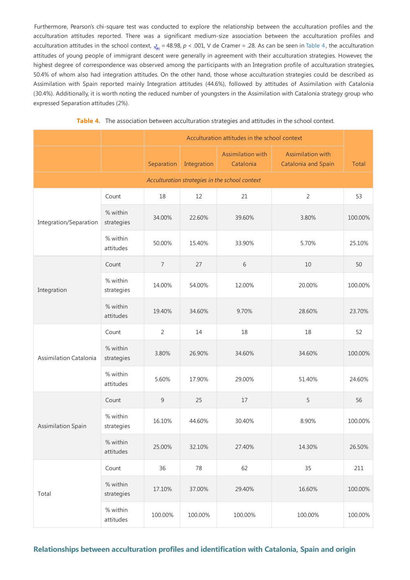<span id="page-9-0"></span>Furthermore, Pearson's chi-square test was conducted to explore the relationship between the acculturation profiles and the acculturation attitudes reported. There was a significant medium-size association between the acculturation profiles and acculturation attitudes in the school context,  $x_{(9)}^2 = 48.98$ ,  $p < .001$ , V de Cramer = .28. As can be seen in [Table](#page-8-0) 4, the acculturation attitudes of young people of immigrant descent were generally in agreement with their acculturation strategies. However, the highest degree of correspondence was observed among the participants with an Integration profile of acculturation strategies, 50.4% of whom also had integration attitudes. On the other hand, those whose acculturation strategies could be described as Assimilation with Spain reported mainly Integration attitudes (44.6%), followed by attitudes of Assimilation with Catalonia (30.4%). Additionally, it is worth noting the reduced number of youngsters in the Assimilation with Catalonia strategy group who expressed Separation attitudes (2%).

|                                                |                        |                |             | Acculturation attitudes in the school context |                                                 |         |  |  |  |  |  |  |
|------------------------------------------------|------------------------|----------------|-------------|-----------------------------------------------|-------------------------------------------------|---------|--|--|--|--|--|--|
|                                                |                        | Separation     | Integration | <b>Assimilation with</b><br>Catalonia         | <b>Assimilation with</b><br>Catalonia and Spain | Total   |  |  |  |  |  |  |
| Acculturation strategies in the school context |                        |                |             |                                               |                                                 |         |  |  |  |  |  |  |
|                                                | Count                  | 18             | 12          | 21                                            | $\sqrt{2}$                                      | 53      |  |  |  |  |  |  |
| Integration/Separation                         | % within<br>strategies | 34.00%         | 22.60%      | 39.60%                                        | 3.80%                                           | 100.00% |  |  |  |  |  |  |
|                                                | % within<br>attitudes  | 50.00%         | 15.40%      | 33.90%                                        | 5.70%                                           | 25.10%  |  |  |  |  |  |  |
|                                                | Count                  | $\overline{7}$ | 27          | $6\,$                                         | 10                                              | 50      |  |  |  |  |  |  |
| Integration                                    | % within<br>strategies | 14.00%         | 54.00%      | 12.00%                                        | 20.00%                                          | 100.00% |  |  |  |  |  |  |
|                                                | % within<br>attitudes  | 19.40%         | 34.60%      | 9.70%                                         | 28.60%                                          | 23.70%  |  |  |  |  |  |  |
|                                                | Count                  | 2              | 14          | 18                                            | 18                                              | 52      |  |  |  |  |  |  |
| <b>Assimilation Catalonia</b>                  | % within<br>strategies | 3.80%          | 26.90%      | 34.60%                                        | 34.60%                                          | 100.00% |  |  |  |  |  |  |
|                                                | % within<br>attitudes  | 5.60%          | 17.90%      | 29.00%                                        | 51.40%                                          | 24.60%  |  |  |  |  |  |  |
|                                                | Count                  | $\mathsf 9$    | 25          | 17                                            | 5                                               | 56      |  |  |  |  |  |  |
| <b>Assimilation Spain</b>                      | % within<br>strategies | 16.10%         | 44.60%      | 30.40%                                        | 8.90%                                           | 100.00% |  |  |  |  |  |  |
|                                                | % within<br>attitudes  | 25.00%         | 32.10%      | 27.40%                                        | 14.30%                                          | 26.50%  |  |  |  |  |  |  |
|                                                | Count                  | 36             | 78          | 62                                            | 35                                              | 211     |  |  |  |  |  |  |
| Total                                          | % within<br>strategies | 17.10%         | 37.00%      | 29.40%                                        | 16.60%                                          | 100.00% |  |  |  |  |  |  |
|                                                | % within<br>attitudes  | 100.00%        | 100.00%     | 100.00%                                       | 100.00%                                         | 100.00% |  |  |  |  |  |  |

**Table 4.** The association between acculturation strategies and attitudes in the school context.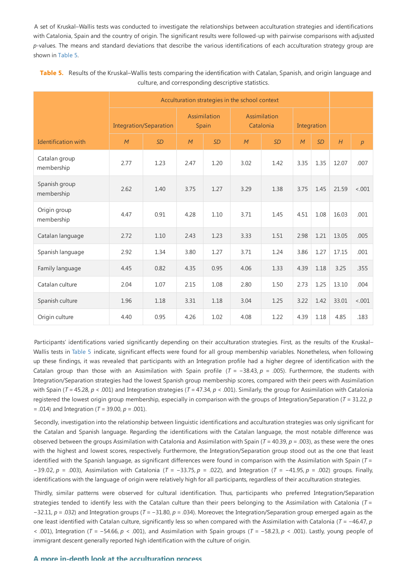A set of Kruskal–Wallis tests was conducted to investigate the relationships between acculturation strategies and identifications with Catalonia, Spain and the country of origin. The significant results were followed-up with pairwise comparisons with adjusted *p*-values. The means and standard deviations that describe the various identifications of each acculturation strategy group are shown in [Table](#page-9-0) 5.

Table 5. Results of the Kruskal–Wallis tests comparing the identification with Catalan, Spanish, and origin language and culture, and corresponding descriptive statistics.

|                             | Integration/Separation |           | Assimilation<br>Spain |           |      | Assimilation<br>Catalonia | Integration |           |                  |                  |
|-----------------------------|------------------------|-----------|-----------------------|-----------|------|---------------------------|-------------|-----------|------------------|------------------|
| <b>Identification with</b>  | M                      | <b>SD</b> | M                     | <b>SD</b> | M    | <b>SD</b>                 | M           | <b>SD</b> | $\boldsymbol{H}$ | $\boldsymbol{p}$ |
| Catalan group<br>membership | 2.77                   | 1.23      | 2.47                  | 1.20      | 3.02 | 1.42                      | 3.35        | 1.35      | 12.07            | .007             |
| Spanish group<br>membership | 2.62                   | 1.40      | 3.75                  | 1.27      | 3.29 | 1.38                      | 3.75        | 1.45      | 21.59            | < .001           |
| Origin group<br>membership  | 4.47                   | 0.91      | 4.28                  | 1.10      | 3.71 | 1.45                      | 4.51        | 1.08      | 16.03            | .001             |
| Catalan language            | 2.72                   | 1.10      | 2.43                  | 1.23      | 3.33 | 1.51                      | 2.98        | 1.21      | 13.05            | .005             |
| Spanish language            | 2.92                   | 1.34      | 3.80                  | 1.27      | 3.71 | 1.24                      | 3.86        | 1.27      | 17.15            | .001             |
| Family language             | 4.45                   | 0.82      | 4.35                  | 0.95      | 4.06 | 1.33                      | 4.39        | 1.18      | 3.25             | .355             |
| Catalan culture             | 2.04                   | 1.07      | 2.15                  | 1.08      | 2.80 | 1.50                      | 2.73        | 1.25      | 13.10            | .004             |
| Spanish culture             | 1.96                   | 1.18      | 3.31                  | 1.18      | 3.04 | 1.25                      | 3.22        | 1.42      | 33.01            | < .001           |
| Origin culture              | 4.40                   | 0.95      | 4.26                  | 1.02      | 4.08 | 1.22                      | 4.39        | 1.18      | 4.85             | .183             |

Participants' identifications varied significantly depending on their acculturation strategies. First, as the results of the Kruskal– Wallis tests in [Table](#page-9-0) 5 indicate, significant effects were found for all group membership variables. Nonetheless, when following up these findings, it was revealed that participants with an Integration profile had a higher degree of identification with the Catalan group than those with an Assimilation with Spain profile (*T* = −38.43, *p* = .005). Furthermore, the students with Integration/Separation strategies had the lowest Spanish group membership scores, compared with their peers with Assimilation with Spain (*T* = 45.28, *p* < .001) and Integration strategies (*T* = 47.34, *p* < .001). Similarly, the group for Assimilation with Catalonia registered the lowest origin group membership, especially in comparison with the groups of Integration/Separation (*T* = 31.22, *p* = .014) and Integration (*T* = 39.00, *p* = .001).

Secondly, investigation into the relationship between linguistic identificationsand acculturation strategies was only significant for the Catalan and Spanish language. Regarding the identifications with the Catalan language, the most notable difference was observed between the groups Assimilation with Catalonia and Assimilation with Spain (*T* = 40.39, *p* = .003), as these were the ones with the highest and lowest scores, respectively. Furthermore, the Integration/Separation group stood out as the one that least identified with the Spanish language, as significant differences were found in comparison with the Assimilation with Spain (*T* = −39.02, *p* = .003), Assimilation with Catalonia (*T* = −33.75, *p* = .022), and Integration (*T* = −41.95, *p* = .002) groups. Finally, identifications with the language of origin were relatively high for all participants, regardless of their acculturation strategies.

Thirdly, similar patterns were observed for cultural identification. Thus, participants who preferred Integration/Separation strategies tended to identify less with the Catalan culture than their peers belonging to the Assimilation with Catalonia (*T* = −32.11, *p* = .032) and Integration groups (*T* = −31.80, *p* = .034). Moreover, the Integration/Separation group emerged again as the one least identified with Catalan culture, significantly less so when compared with the Assimilation with Catalonia (*T* = −46.47, *p* < .001), Integration (*T* = −54.66, *p* < .001), and Assimilation with Spain groups (*T* = −58.23, *p* < .001). Lastly, young people of immigrant descent generally reported high identification with the culture of origin.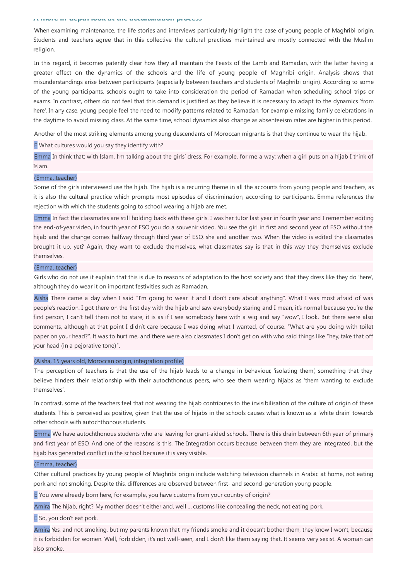#### **A more in-depth look at the acculturation process**

When examining maintenance, the life stories and interviews particularly highlight the case of young people of Maghribi origin. Students and teachers agree that in this collective the cultural practices maintained are mostly connected with the Muslim religion.

In this regard, it becomes patently clear how they all maintain the Feasts of the Lamb and Ramadan, with the latter having a greater effect on the dynamics of the schools and the life of young people of Maghribi origin. Analysis shows that misunderstandings arise between participants (especially between teachers and students of Maghribi origin). According to some of the young participants, schools ought to take into consideration the period of Ramadan when scheduling school trips or exams. In contrast, others do not feel that this demand is justified as they believe it is necessary to adapt to the dynamics 'from here'. In any case, young people feel the need to modify patterns related to Ramadan, for example missing family celebrations in the daytime to avoid missing class. At the same time, school dynamics also change as absenteeism rates are higher in this period.

Another of the most striking elementsamong young descendants of Moroccan migrants is that they continue to wear the hijab.

E What cultures would you say they identify with?

Emma In think that: with Islam. I'm talking about the girls' dress. For example, for me a way: when a girl puts on a hijab I think of Islam.

### (Emma, teacher)

Some of the girls interviewed use the hijab. The hijab is a recurring theme in all the accounts from young people and teachers, as it is also the cultural practice which prompts most episodes of discrimination, according to participants. Emma references the rejection with which the students going to school wearing a hijab are met.

Emma In fact the classmates are still holding back with these girls. I was her tutor last year in fourth year and I remember editing the end-of-year video, in fourth year of ESO you do a souvenir video. You see the girl in first and second year of ESO without the hijab and the change comes halfway through third year of ESO, she and another two. When the video is edited the classmates brought it up, yet? Again, they want to exclude themselves, what classmates say is that in this way they themselves exclude themselves.

### (Emma, teacher)

Girls who do not use it explain that this is due to reasons of adaptation to the host society and that they dress like they do 'here', although they do wear it on important festivities such as Ramadan.

Aisha There came a day when I said "I'm going to wear it and I don't care about anything". What I was most afraid of was people's reaction. I got there on the first day with the hijab and saw everybody staring and I mean, it's normal because you're the first person, I can't tell them not to stare, it is as if I see somebody here with a wig and say "wow", I look. But there were also comments, although at that point I didn't care because I was doing what I wanted, of course. "What are you doing with toilet paper on your head?". It was to hurt me, and there were also classmates I don't get on with who said things like "hey, take that off your head (in a pejorative tone)".

### (Aisha, 15 years old, Moroccan origin, integration profile)

The perception of teachers is that the use of the hijab leads to a change in behaviour, 'isolating them', something that they believe hinders their relationship with their autochthonous peers, who see them wearing hijabs as 'them wanting to exclude themselves'.

In contrast, some of the teachers feel that not wearing the hijab contributes to the invisibilisation of the culture of origin of these students. This is perceived as positive, given that the use of hijabs in the schools causes what is known as a 'white drain' towards other schools with autochthonous students.

Emma We have autochthonous students who are leaving for grant-aided schools. There is this drain between 6th year of primary and first year of ESO. And one of the reasons is this. The Integration occurs because between them they are integrated, but the hijab has generated conflict in the school because it is very visible.

### (Emma, teacher)

Other cultural practices by young people of Maghribi origin include watching television channels in Arabic at home, not eating pork and not smoking. Despite this, differences are observed between first- and second-generation young people.

E You were already born here, for example, you have customs from your country of origin?

Amira The hijab, right? My mother doesn't either and, well … customs like concealing the neck, not eating pork.

E So, you don't eat pork.

Amira Yes, and not smoking, but my parents known that my friends smoke and it doesn't bother them, they know I won't, because it is forbidden for women. Well, forbidden, it's not well-seen, and I don't like them saying that. It seems very sexist. A woman can also smoke.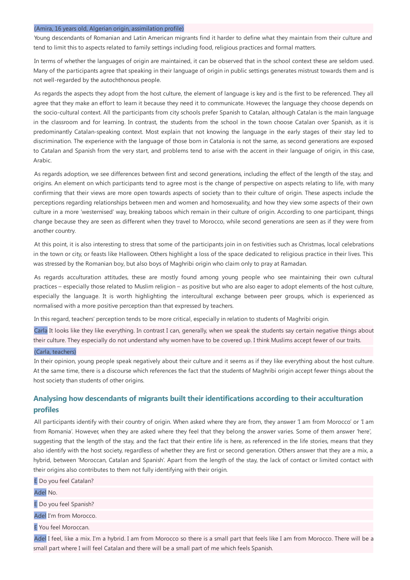### (Amira, 16 years old, Algerian origin, assimilation profile)

Young descendants of Romanian and Latin American migrants find it harder to define what they maintain from their culture and tend to limit this to aspects related to family settings including food, religious practices and formal matters.

In terms of whether the languages of origin are maintained, it can be observed that in the school context these are seldom used. Many of the participants agree that speaking in their language of origin in public settings generates mistrust towards them and is not well-regarded by the autochthonous people.

As regards the aspects they adopt from the host culture, the element of language is key and is the first to be referenced. They all agree that they make an effort to learn it because they need it to communicate. However, the language they choose depends on the socio-cultural context. All the participants from city schools prefer Spanish to Catalan, although Catalan is the main language in the classroom and for learning. In contrast, the students from the school in the town choose Catalan over Spanish, as it is predominantly Catalan-speaking context. Most explain that not knowing the language in the early stages of their stay led to discrimination. The experience with the language of those born in Catalonia is not the same, as second generations are exposed to Catalan and Spanish from the very start, and problems tend to arise with the accent in their language of origin, in this case, Arabic.

As regards adoption, we see differences between first and second generations, including the effect of the length of the stay, and origins. An element on which participants tend to agree most is the change of perspective on aspects relating to life, with many confirming that their views are more open towards aspects of society than to their culture of origin. These aspects include the perceptions regarding relationships between men and women and homosexuality, and how they view some aspects of their own culture in a more 'westernised' way, breaking taboos which remain in their culture of origin. According to one participant, things change because they are seen as different when they travel to Morocco, while second generations are seen as if they were from another country.

At this point, it is also interesting to stress that some of the participants join in on festivities such as Christmas, local celebrations in the town or city, or feasts like Halloween. Others highlight a loss of the space dedicated to religious practice in their lives. This was stressed by the Romanian boy, but also boys of Maghribi origin who claim only to prayat Ramadan.

As regards acculturation attitudes, these are mostly found among young people who see maintaining their own cultural practices – especially those related to Muslim religion – as positive but who are also eager to adopt elements of the host culture, especially the language. It is worth highlighting the intercultural exchange between peer groups, which is experienced as normalised with a more positive perception than that expressed by teachers.

In this regard, teachers' perception tends to be more critical, especially in relation to students of Maghribi origin.

Carla It looks like they like everything. In contrast I can, generally, when we speak the students say certain negative things about their culture. They especially do not understand why women have to be covered up. I think Muslims accept fewer of our traits.

### (Carla, teachers)

In their opinion, young people speak negatively about their culture and it seems as if they like everything about the host culture. At the same time, there is a discourse which references the fact that the students of Maghribi origin accept fewer things about the host society than students of other origins.

# **Analysing how descendants of migrants built their identifications according to their acculturation profiles**

All participants identify with their country of origin. When asked where they are from, they answer 'I am from Morocco' or 'I am from Romania'. However, when they are asked where they feel that they belong the answer varies. Some of them answer 'here', suggesting that the length of the stay, and the fact that their entire life is here, as referenced in the life stories, means that they also identify with the host society, regardless of whether they are first or second generation. Others answer that they are a mix, a hybrid, between 'Moroccan, Catalan and Spanish'. Apart from the length of the stay, the lack of contact or limited contact with their origins also contributes to them not fully identifying with their origin.

| E Do you feel Catalan? |  |  |  |  |
|------------------------|--|--|--|--|
| Adel No.               |  |  |  |  |
| E Do you feel Spanish? |  |  |  |  |
| Adel I'm from Morocco. |  |  |  |  |
| E You feel Moroccan.   |  |  |  |  |
|                        |  |  |  |  |

Adel I feel, like a mix. I'm a hybrid. I am from Morocco so there is a small part that feels like I am from Morocco. There will be a small part where I will feel Catalan and there will be a small part of me which feels Spanish.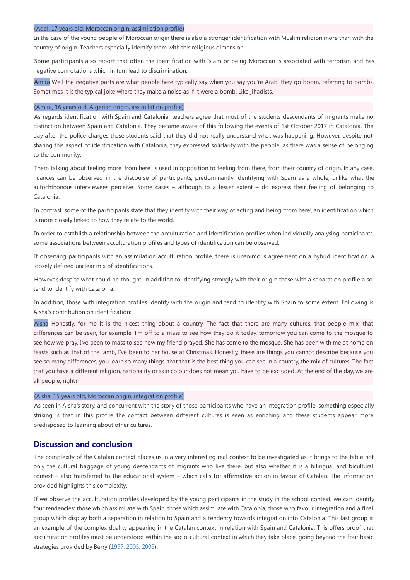### (Adel, 17 years old, Moroccan origin, assimilation profile)

In the case of the young people of Moroccan origin there is also a stronger identification with Muslim religion more than with the country of origin. Teachers especially identify them with this religious dimension.

Some participants also report that often the identification with Islam or being Moroccan is associated with terrorism and has negative connotations which in turn lead to discrimination.

Amira Well the negative parts are what people here typically say when you say you're Arab, they go boom, referring to bombs. Sometimes it is the typical joke where they make a noise as if it were a bomb. Like jihadists.

### (Amira, 16 years old, Algerian origin, assimilation profile)

As regards identification with Spain and Catalonia, teachers agree that most of the students descendants of migrants make no distinction between Spain and Catalonia. They became aware of this following the events of 1st October 2017 in Catalonia. The day after the police charges these students said that they did not really understand what was happening. However, despite not sharing this aspect of identification with Catalonia, they expressed solidarity with the people, as there was a sense of belonging to the community.

<span id="page-13-0"></span>Them talking about feeling more 'from here' is used in opposition to feeling from there, from their country of origin. In any case, nuances can be observed in the discourse of participants, predominantly identifying with Spain as a whole, unlike what the autochthonous interviewees perceive. Some cases – although to a lesser extent – do express their feeling of belonging to Catalonia.

In contrast, some of the participants state that they identify with their way of acting and being 'from here', an identification which is more closely linked to how they relate to the world.

In order to establish a relationship between the acculturation and identification profiles when individually analysing participants, some associations between acculturation profilesand types of identification can be observed.

If observing participants with an assimilation acculturation profile, there is unanimous agreement on a hybrid identification, a loosely defined unclear mix of identifications.

However, despite what could be thought, in addition to identifying strongly with their origin those with a separation profile also tend to identify with Catalonia.

In addition, those with integration profiles identify with the origin and tend to identify with Spain to some extent. Following is Aisha's contribution on identification:

Aisha Honestly, for me it is the nicest thing about a country. The fact that there are many cultures, that people mix, that differences can be seen, for example, I'm off to a mass to see how they do it today, tomorrow you can come to the mosque to see how we pray. I've been to mass to see how my friend prayed. She has come to the mosque. She has been with me at home on feasts such as that of the lamb, I've been to her house at Christmas. Honestly, these are things you cannot describe because you see so many differences, you learn so many things, that that is the best thing you can see in a country, the mix of cultures. The fact that you have a different religion, nationality or skin colour does not mean you have to be excluded. At the end of the day, we are all people, right?

### (Aisha, 15 years old, Moroccan origin, integration profile)

As seen in Aisha's story, and concurrent with the story of those participants who have an integration profile, something especially striking is that in this profile the contact between different cultures is seen as enriching and these students appear more predisposed to learning about other cultures.

## **Discussion and conclusion**

The complexity of the Catalan context places us in a very interesting real context to be investigated as it brings to the table not only the cultural baggage of young descendants of migrants who live there, but also whether it is a bilingual and bicultural context – also transferred to the educational system – which calls for affirmative action in favour of Catalan. The information provided highlights this complexity.

If we observe the acculturation profiles developed by the young participants in the study in the school context, we can identify four tendencies: those which assimilate with Spain, those which assimilate with Catalonia, those who favour integration and a final group which display both a separation in relation to Spain and a tendency towards integration into Catalonia. This last group is an example of the complex duality appearing in the Catalan context in relation with Spain and Catalonia. This offers proof that acculturation profiles must be understood within the socio-cultural context in which they take place, going beyond the four basic strategies provided by Berry ([1997](#page-15-12), [2005](#page-15-11), [2009](#page-15-13)).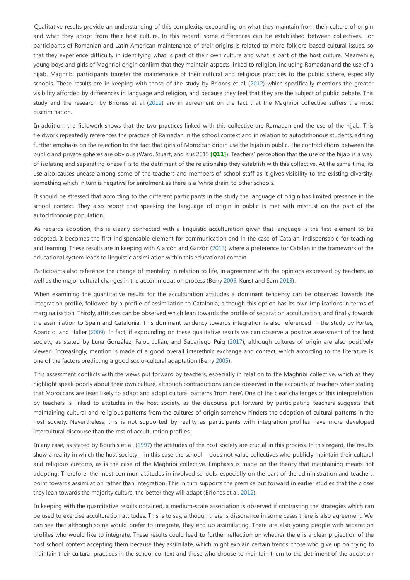Qualitative results provide an understanding of this complexity, expounding on what they maintain from their culture of origin and what they adopt from their host culture. In this regard, some differences can be established between collectives. For participants of Romanian and Latin American maintenance of their origins is related to more folklore-based cultural issues, so that they experience difficulty in identifying what is part of their own culture and what is part of the host culture. Meanwhile, young boysand girls of Maghribi origin confirm that they maintain aspects linked to religion, including Ramadan and the use of a hijab. Maghribi participants transfer the maintenance of their cultural and religious practices to the public sphere, especially schools. These results are in keeping with those of the study by Briones et al. ([2012](#page-15-15)) which specifically mentions the greater visibility afforded by differences in language and religion, and because they feel that they are the subject of public debate. This study and the research by Briones et al. ([2012](#page-15-15)) are in agreement on the fact that the Maghribi collective suffers the most discrimination.

In addition, the fieldwork shows that the two practices linked with this collective are Ramadan and the use of the hijab. This fieldwork repeatedly references the practice of Ramadan in the school context and in relation to autochthonous students, adding further emphasis on the rejection to the fact that girls of Moroccan origin use the hijab in public. The contradictions between the public and private spheres are obvious (Ward, Stuart, and Kus 2015 **[\[Q11\]](#page-0-10)**). Teachers' perception that the use of the hijab is a way of isolating and separating oneself is to the detriment of the relationship they establish with this collective. At the same time, its use also causes unease among some of the teachers and members of school staff as it gives visibility to the existing diversity, something which in turn is negative for enrolment as there is a 'white drain' to other schools.

It should be stressed that according to the different participants in the study the language of origin has limited presence in the school context. They also report that speaking the language of origin in public is met with mistrust on the part of the autochthonous population.

As regards adoption, this is clearly connected with a linguistic acculturation given that language is the first element to be adopted. It becomes the first indispensable element for communication and in the case of Catalan, indispensable for teaching and learning. These results are in keeping with Alarcón and Garzón ([2013](#page-15-16)) where a preference for Catalan in the framework of the educational system leads to linguistic assimilation within thiseducational context.

Participants also reference the change of mentality in relation to life, in agreement with the opinions expressed by teachers, as well as the major cultural changes in the accommodation process (Berry [2005](#page-15-11); Kunst and Sam [2013](#page-16-14)).

When examining the quantitative results for the acculturation attitudes a dominant tendency can be observed towards the integration profile, followed by a profile of assimilation to Catalonia, although this option has its own implications in terms of marginalisation. Thirdly, attitudes can be observed which lean towards the profile of separation acculturation, and finally towards the assimilation to Spain and Catalonia. This dominant tendency towards integration is also referenced in the study by Portes, Aparicio, and Haller [\(2009](#page-16-15)). In fact, if expounding on these qualitative results we can observe a positive assessment of the host society, as stated by Luna González, Palou Julián, and Sabariego Puig ([2017](#page-16-23)), although cultures of origin are also positively viewed. Increasingly, mention is made of a good overall interethnic exchange and contact, which according to the literature is one of the factors predicting a good socio-cultural adaptation (Berry [2005](#page-15-11)).

This assessment conflicts with the views put forward by teachers, especially in relation to the Maghribi collective, which as they highlight speak poorly about their own culture, although contradictions can be observed in the accounts of teachers when stating that Moroccans are least likely to adapt and adopt cultural patterns 'from here'. One of the clear challenges of this interpretation by teachers is linked to attitudes in the host society, as the discourse put forward by participating teachers suggests that maintaining cultural and religious patterns from the cultures of origin somehow hinders the adoption of cultural patterns in the host society. Nevertheless, this is not supported by reality as participants with integration profiles have more developed intercultural discourse than the rest of acculturation profiles.

In any case, as stated by Bourhis et al. [\(1997](#page-15-14)) the attitudes of the host society are crucial in this process. In this regard, the results show a reality in which the host society – in this case the school – does not value collectives who publicly maintain their cultural and religious customs, as is the case of the Maghribi collective. Emphasis is made on the theory that maintaining means not adopting. Therefore, the most common attitudes in involved schools, especially on the part of the administration and teachers, point towards assimilation rather than integration. This in turn supports the premise put forward in earlier studies that the closer they lean towards the majority culture, the better they will adapt (Briones et al. [2012](#page-15-15)).

In keeping with the quantitative results obtained, a medium-scale association is observed if contrasting the strategies which can be used to exercise acculturation attitudes. This is to say, although there is dissonance in some cases there is also agreement. We can see that although some would prefer to integrate, they end up assimilating. There are also young people with separation profiles who would like to integrate. These results could lead to further reflection on whether there is a clear projection of the host school context accepting them because they assimilate, which might explain certain trends: those who give up on trying to maintain their cultural practices in the school context and those who choose to maintain them to the detriment of the adoption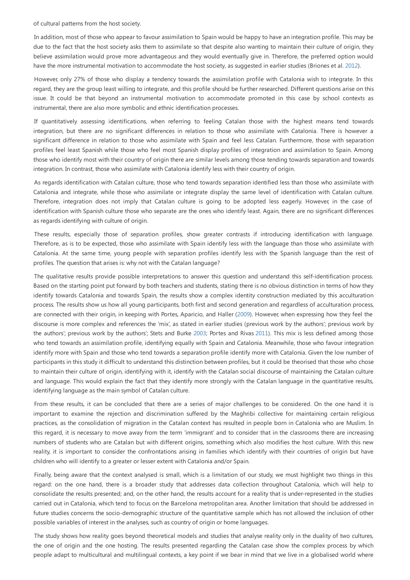of cultural patterns from the host society.

In addition, most of those who appear to favour assimilation to Spain would be happy to have an integration profile.This may be due to the fact that the host society asks them to assimilate so that despite also wanting to maintain their culture of origin, they believe assimilation would prove more advantageous and they would eventually give in. Therefore, the preferred option would have the more instrumental motivation to accommodate the host society, as suggested in earlier studies (Briones et al. [2012](#page-15-15)).

<span id="page-15-5"></span>However, only 27% of those who display a tendency towards the assimilation profile with Catalonia wish to integrate. In this regard, they are the group least willing to integrate, and this profile should be further researched. Different questionsarise on this issue. It could be that beyond an instrumental motivation to accommodate promoted in this case by school contexts as instrumental, there are also more symbolic and ethnic identification processes.

<span id="page-15-0"></span>If quantitatively assessing identifications, when referring to feeling Catalan those with the highest means tend towards integration, but there are no significant differences in relation to those who assimilate with Catalonia. There is however a significant difference in relation to those who assimilate with Spain and feel less Catalan. Furthermore, those with separation profiles feel least Spanish while those who feel most Spanish display profiles of integration and assimilation to Spain. Among those who identify most with their country of origin there are similar levels among those tending towards separation and towards integration. In contrast, those who assimilate with Catalonia identify less with their country of origin.

<span id="page-15-16"></span>As regards identification with Catalan culture, those who tend towards separation identified less than those who assimilate with Catalonia and integrate, while those who assimilate or integrate display the same level of identification with Catalan culture. Therefore, integration does not imply that Catalan culture is going to be adopted less eagerly. However, in the case of identification with Spanish culture those who separate are the ones who identify least. Again, there are no significant differences as regards identifying with culture of origin.

<span id="page-15-20"></span><span id="page-15-4"></span><span id="page-15-1"></span>These results, especially those of separation profiles, show greater contrasts if introducing identification with language. Therefore, as is to be expected, those who assimilate with Spain identify less with the language than those who assimilate with Catalonia. At the same time, young people with separation profiles identify less with the Spanish language than the rest of profiles.The question that arises is: why not with the Catalan language?

<span id="page-15-19"></span><span id="page-15-14"></span><span id="page-15-13"></span><span id="page-15-12"></span><span id="page-15-11"></span><span id="page-15-7"></span>The qualitative results provide possible interpretations to answer this question and understand this self-identification process. Based on the starting point put forward by both teachers and students, stating there is no obvious distinction in terms of how they identify towards Catalonia and towards Spain, the results show a complex identity construction mediated by this acculturation process. The results show us how all young participants, both first and second generation and regardless of acculturation process, are connected with their origin, in keeping with Portes, Aparicio, and Haller ([2009](#page-16-15)). However, when expressing how they feel the discourse is more complex and references the 'mix', as stated in earlier studies (previous work by the authors'; previous work by the authors'; previous work by the authors'; Stets and Burke [2003](#page-16-20); Portes and Rivas [2011](#page-16-19)). This mix is less defined among those who tend towards an assimilation profile, identifying equally with Spain and Catalonia. Meanwhile, those who favour integration identify more with Spain and those who tend towards a separation profile identify more with Catalonia. Given the low number of participants in this study it difficult to understand this distinction between profiles, but it could be theorised that those who chose to maintain their culture of origin, identifying with it, identify with the Catalan social discourse of maintaining the Catalan culture and language. This would explain the fact that they identify more strongly with the Catalan language in the quantitative results, identifying language as the main symbol of Catalan culture.

<span id="page-15-21"></span><span id="page-15-15"></span><span id="page-15-10"></span><span id="page-15-2"></span>From these results, it can be concluded that there are a series of major challenges to be considered. On the one hand it is important to examine the rejection and discrimination suffered by the Maghribi collective for maintaining certain religious practices, as the consolidation of migration in the Catalan context has resulted in people born in Catalonia who are Muslim. In this regard, it is necessary to move away from the term 'immigrant' and to consider that in the classrooms there are increasing numbers of students who are Catalan but with different origins, something which also modifies the host culture. With this new reality, it is important to consider the confrontations arising in families which identify with their countries of origin but have children who will identify to a greater or lesser extent with Catalonia and/or Spain.

<span id="page-15-18"></span><span id="page-15-17"></span><span id="page-15-6"></span><span id="page-15-3"></span>Finally, being aware that the context analysed is small, which is a limitation of our study, we must highlight two things in this regard: on the one hand, there is a broader study that addresses data collection throughout Catalonia, which will help to consolidate the results presented; and, on the other hand, the results account for a reality that is under-represented in the studies carried out in Catalonia, which tend to focus on the Barcelona metropolitan area. Another limitation that should be addressed in future studies concerns the socio-demographic structure of the quantitative sample which has not allowed the inclusion of other possible variables of interest in the analyses, such as country of origin or home languages.

<span id="page-15-9"></span><span id="page-15-8"></span>The study shows how reality goes beyond theoretical models and studies that analyse reality only in the duality of two cultures, the one of origin and the one hosting. The results presented regarding the Catalan case show the complex process by which people adapt to multicultural and multilingual contexts, a key point if we bear in mind that we live in a globalised world where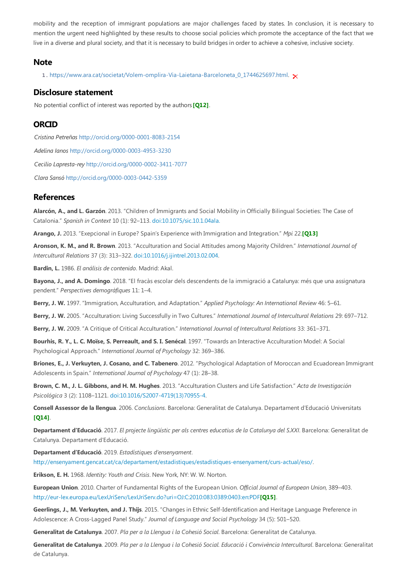<span id="page-16-18"></span><span id="page-16-10"></span>mobility and the reception of immigrant populations are major challenges faced by states. In conclusion, it is necessary to mention the urgent need highlighted by these results to choose social policies which promote the acceptance of the fact that we live in a diverse and plural society, and that it is necessary to build bridges in order to achieve a cohesive, inclusive society.

# **Note**

<span id="page-16-2"></span><span id="page-16-0"></span>**1.** [https://www.ara.cat/societat/Volem-omplira-Via-Laietana-Barceloneta\\_0\\_1744625697.html](https://www.ara.cat/societat/Volem-omplira-Via-Laietana-Barceloneta_0_1744625697.html).

# **Disclosure statement**

<span id="page-16-7"></span>No potential conflict of interest was reported by the authors**[\[Q12\]](#page-1-3)**.

# **ORCID**

<span id="page-16-14"></span><span id="page-16-13"></span>*Cristina Petreñas* <http://orcid.org/0000-0001-8083-2154> *Adelina Ianos* <http://orcid.org/0000-0003-4953-3230> *Cecilio Lapresta-rey* <http://orcid.org/0000-0002-3411-7077> *Clara Sansó* <http://orcid.org/0000-0003-0442-5359>

# <span id="page-16-23"></span><span id="page-16-16"></span>**References**

**Alarcón, A., and L. Garzón**. 2013. "Children of Immigrantsand Social Mobility in Officially Bilingual Societies:The Case of Catalonia." *Spanish in Context* 10 (1): 92–113. doi:10.1075/sic.10.1.04ala.

<span id="page-16-3"></span>**Arango, J.** 2013. "Exepcional in Europe? Spain'sExperience with Immigration and Integration." *Mpi* 22.**[\[Q13\]](#page-1-4)**

<span id="page-16-8"></span>**Aronson, K. M., and R. Brown**. 2013. "Acculturation and Social Attitudesamong Majority Children." *International Journal of Intercultural Relations* 37 (3): 313–322. doi:10.1016/j.ijintrel.2013.02.004.

**Bardin, L.** 1986. *El análisis de contenido*. Madrid: Akal.

<span id="page-16-24"></span>Bayona, J., and A. Domingo. 2018. "El fracàs escolar dels descendents de la immigració a Catalunya: més que una assignatura pendent." *Perspectives demogràfiques* 11: 1–4.

<span id="page-16-12"></span>**Berry, J. W.** 1997. "Immigration, Acculturation,and Adaptation." *Applied Psychology: An International Review* 46: 5–61.

**Berry, J. W.** 2005. "Acculturation: Living Successfully in Two Cultures." *International Journal of Intercultural Relations* 29: 697–712.

<span id="page-16-21"></span>**Berry, J. W.** 2009. "A Critique of Critical Acculturation." *International Journal of Intercultural Relations* 33: 361–371.

<span id="page-16-15"></span>**Bourhis, R. Y., L. C. Moïse, S. Perreault, and S. I. Senécal**. 1997. "Towardsan Interactive Acculturation Model: A Social Psychological Approach." *International Journal of Psychology* 32: 369–386.

<span id="page-16-22"></span><span id="page-16-5"></span><span id="page-16-4"></span>**Briones,E., J. Verkuyten, J. Cosano, and C. Tabenero**. 2012. "Psychological Adaptation of Moroccan and Ecuadorean Immigrant Adolescents in Spain." *International Journal of Psychology* 47 (1): 28–38.

<span id="page-16-19"></span>**Brown, C. M., J. L. Gibbons, and H. M. Hughes**. 2013. "Acculturation Clustersand Life Satisfaction." *Acta de Investigación Psicológica* 3 (2): 1108–1121. doi:10.1016/S2007-4719(13)70955-4.

**Consell Assessor de la llengua**. 2006. *Conclusions*. Barcelona: Generalitat de Catalunya. Departament d'Educació Universitats **[\[Q14\]](#page-1-5)**.

<span id="page-16-1"></span>Departament d'Educació. 2017. El projecte lingüístic per als centres educatius de la Catalunya del S.XXI. Barcelona: Generalitat de Catalunya. Departament d'Educació.

<span id="page-16-9"></span>**Departament d'Educació**. 2019. *Estadístiques d'ensenyament*.

http://ensenyament.gencat.cat/ca/departament/estadistiques/estadistiques-ensenyament/curs-actual/eso/.

**Erikson,E. H.** 1968. *Identity: Youth and Crisis*. New York, NY: W. W. Norton.

<span id="page-16-6"></span>**European Union**. 2010. Charter of Fundamental Rights of the European Union. *Official Journal ofEuropean Union*, 389–403. http://eur-lex.europa.eu/LexUriServ/LexUriServ.do?uri=OJ:C:2010:083:0389:0403:en:PDF**[\[Q15\]](#page-1-6)**.

<span id="page-16-11"></span>**Geerlings, J., M. Verkuyten, and J. Thijs**. 2015. "Changes in Ethnic Self-Identification and Heritage Language Preference in Adolescence: A Cross-Lagged Panel Study." *Journal of Language and Social Psychology* 34 (5): 501–520.

<span id="page-16-17"></span>**Generalitat de Catalunya**. 2007. *Pla per a la Llengua i la Cohesió Social*. Barcelona: Generalitat de Catalunya.

<span id="page-16-20"></span>Generalitat de Catalunya. 2009. Pla per a la Llengua i la Cohesió Social. Educació i Convivència Intercultural. Barcelona: Generalitat de Catalunya.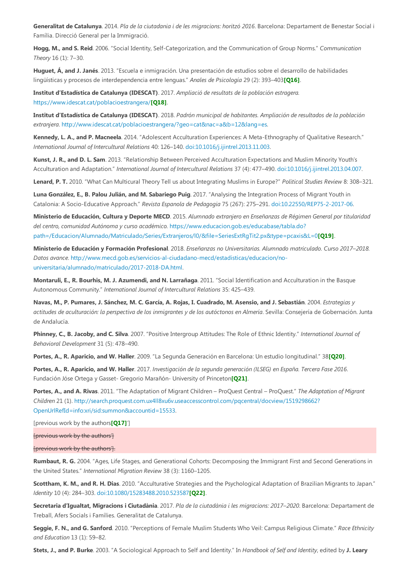<span id="page-17-0"></span>**Generalitat de Catalunya**. 2014. *Pla de la ciutadania i de les migracions: horitzó 2016*. Barcelona: Departament de BenestarSocial i Família. Direcció General per la Immigració.

<span id="page-17-1"></span>Hogg, M., and S. Reid. 2006. "Social Identity, Self-Categorization, and the Communication of Group Norms." *Communication Theory* 16 (1): 7–30.

**Huguet, Á, and J. Janés**. 2013. "Escuela e inmigración. Una presentación de estudios sobre el desarrollo de habilidades lingüísticas y procesos de interdependencia entre lenguas." *Anales de Psicología* 29 (2): 393–403**[\[Q16\]](#page-1-7)**.

**Institut d'Estadística de Catalunya (IDESCAT)**. 2017. *Ampliació de resultats de la población estragera.* https://www.idescat.cat/poblacioestrangera/**[\[Q18\]](#page-1-8)**.

Institut d'Estadística de Catalunya (IDESCAT). 2018. Padrón municipal de habitantes. Ampliación de resultados de la población *extranjera*. http://www.idescat.cat/poblacioestrangera/?geo=cat&nac=a&b=12&lang=es.

**Kennedy, L. A., and P. Macneela**. 2014. "Adolescent Acculturation Experiences: A Meta-Ethnography of Qualitative Research." *International Journal of Intercultural Relations* 40: 126–140. doi:10.1016/j.ijintrel.2013.11.003.

**Kunst, J. R., and D. L. Sam**. 2013. "Relationship Between Perceived Acculturation Expectationsand Muslim Minority Youth's Acculturation and Adaptation." *International Journal of Intercultural Relations* 37 (4): 477–490. doi:10.1016/j.ijintrel.2013.04.007.

Lenard, P. T. 2010. "What Can Multicural Theory Tell us about Integrating Muslims in Europe?" Political Studies Review 8: 308–321.

**Luna González,E., B. Palou Julián, and M. Sabariego Puig**. 2017. "Analysing the Integration Process of Migrant Youth in Catalonia: A Socio-Educative Approach." *Revista Espanola de Pedagogia* 75 (267): 275–291. doi:10.22550/REP75-2-2017-06.

Ministerio de Educación, Cultura y Deporte MECD. 2015. Alumnado extranjero en Enseñanzas de Régimen General por titularidad *del centro, comunidad Autónoma y curso académico.* https://www.educacion.gob.es/educabase/tabla.do? path=/Educacion/Alumnado/Matriculado/Series/Extranjeros/l0/&file=SeriesExtRgTit2.px&type=pcaxis&L=0**[\[Q19\]](#page-1-9)**.

**Ministerio de Educación y Formación Profesional**. 2018. *Enseñanzas no Universitarias. Alumnado matriculado. Curso 2017–2018. Datos avance*. http://www.mecd.gob.es/servicios-al-ciudadano-mecd/estadisticas/educacion/nouniversitaria/alumnado/matriculado/2017-2018-DA.html.

**Montaruli,E., R. Bourhis, M. J. Azumendi, and N. Larrañaga**. 2011. "Social Identification and Acculturation in the Basque Autonomous Community." *International Journal of Intercultural Relations* 35: 425–439.

Navas, M., P. Pumares, J. Sánchez, M. C. García, A. Rojas, I. Cuadrado, M. Asensio, and J. Sebastián. 2004. Estrategias y actitudes de aculturación: la perspectiva de los inmigrantes y de los autóctonos en Almería. Sevilla: Consejería de Gobernación. Junta de Andalucía.

**Phinney, C., B. Jacoby, and C. Silva**. 2007. "Positive Intergroup Attitudes:The Role of Ethnic Identity." *International Journal of Behavioral Development* 31 (5): 478–490.

**Portes, A., R. Aparicio, and W. Haller**. 2009. "La Segunda Generación en Barcelona: Un estudio longitudinal." 38**[\[Q20\]](#page-1-10)**.

Portes, A., R. Aparicio, and W. Haller. 2017. Investigación de la segunda generación (ILSEG) en España. Tercera Fase 2016. Fundación Jóse Ortega y Gasset- Gregorio Marañón- University of Princeton**[\[Q21\]](#page-1-11)**.

**Portes, A., and A. Rivas**. 2011. "The Adaptation of Migrant Children – ProQuest Central – ProQuest." *The Adaptation of Migrant Children* 21 (1). http://search.proquest.com.ux4ll8xu6v.useaccesscontrol.com/pqcentral/docview/1519298662? OpenUrlRefId=info:xri/sid:summon&accountid=15533.

[previous work by the authors**[\[Q17\]](#page-1-12)**']

[previous work by the authors']

[previous work by the authors'].

**Rumbaut, R. G.** 2004. "Ages, Life Stages, and Generational Cohorts: Decomposing the Immigrant First and Second Generations in the United States." *International Migration Review* 38 (3): 1160–1205.

**Scottham, K. M., and R. H. Dias**. 2010. "Acculturative Strategiesand the Psychological Adaptation of Brazilian Migrants to Japan." *Identity* 10 (4): 284–303. doi:10.1080/15283488.2010.523587**[\[Q22\]](#page-1-13)**.

**Secretaria d'Igualtat, Migracions i Ciutadània**. 2017. *Pla de la ciutadània i les migracions: 2017–2020*. Barcelona: Departament de Treball, Afers Socials i Famílies. Generalitat de Catalunya.

**Seggie, F. N., and G. Sanford**. 2010. "Perceptions of Female Muslim Students Who Veil: Campus Religious Climate." *Race Ethnicity and Education* 13 (1): 59–82.

**Stets, J., and P. Burke**. 2003. "A Sociological Approach to Self and Identity." In *HandbookofSelf and Identity*,edited by **J. Leary**